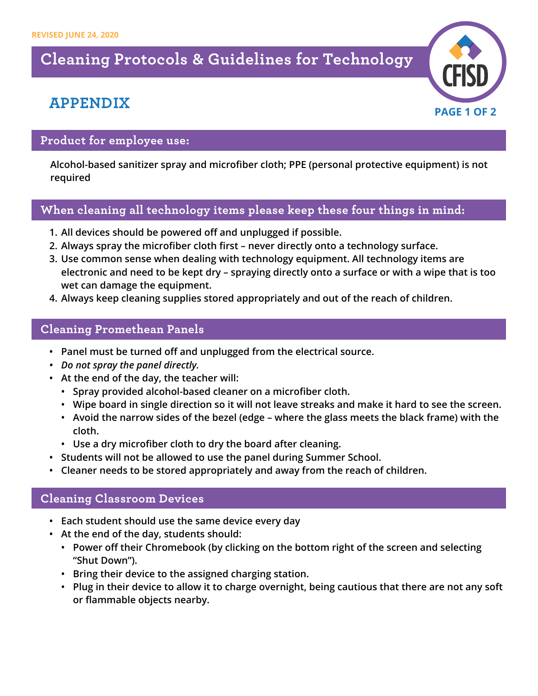## **Cleaning Protocols & Guidelines for Technology**

## **APPENDIX**



#### **Product for employee use:**

**Alcohol-based sanitizer spray and microfiber cloth; PPE (personal protective equipment) is not required**

#### **When cleaning all technology items please keep these four things in mind:**

- **1. All devices should be powered off and unplugged if possible.**
- **2. Always spray the microfiber cloth first never directly onto a technology surface.**
- **3. Use common sense when dealing with technology equipment. All technology items are electronic and need to be kept dry – spraying directly onto a surface or with a wipe that is too wet can damage the equipment.**
- **4. Always keep cleaning supplies stored appropriately and out of the reach of children.**

### **Cleaning Promethean Panels**

- **• Panel must be turned off and unplugged from the electrical source.**
- *• Do not spray the panel directly.*
- **• At the end of the day, the teacher will:** 
	- **• Spray provided alcohol-based cleaner on a microfiber cloth.**
	- **• Wipe board in single direction so it will not leave streaks and make it hard to see the screen.**
	- **• Avoid the narrow sides of the bezel (edge where the glass meets the black frame) with the cloth.**
	- **• Use a dry microfiber cloth to dry the board after cleaning.**
- **• Students will not be allowed to use the panel during Summer School.**
- **• Cleaner needs to be stored appropriately and away from the reach of children.**

#### **Cleaning Classroom Devices**

- **• Each student should use the same device every day**
- **• At the end of the day, students should:**
	- **• Power off their Chromebook (by clicking on the bottom right of the screen and selecting "Shut Down").**
	- **• Bring their device to the assigned charging station.**
	- **• Plug in their device to allow it to charge overnight, being cautious that there are not any soft or flammable objects nearby.**